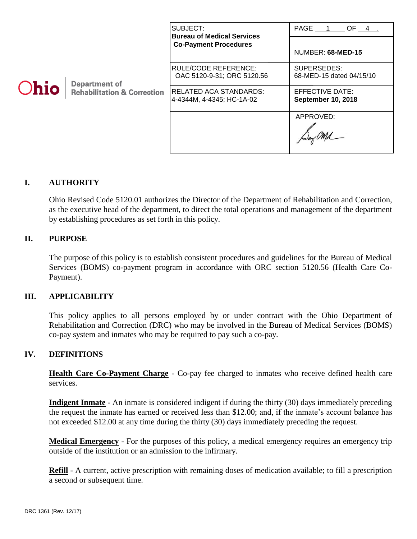|             |                                                                | SUBJECT:<br><b>Bureau of Medical Services</b>       | PAGE 1 OF 4.                                 |
|-------------|----------------------------------------------------------------|-----------------------------------------------------|----------------------------------------------|
| <b>Ohio</b> | <b>Department of</b><br><b>Rehabilitation &amp; Correction</b> | <b>Co-Payment Procedures</b>                        | NUMBER: 68-MED-15                            |
|             |                                                                | RULE/CODE REFERENCE:<br>OAC 5120-9-31; ORC 5120.56  | SUPERSEDES:<br>68-MED-15 dated 04/15/10      |
|             |                                                                | RELATED ACA STANDARDS:<br>4-4344M, 4-4345; HC-1A-02 | EFFECTIVE DATE:<br><b>September 10, 2018</b> |
|             |                                                                |                                                     | APPROVED:                                    |

# **I. AUTHORITY**

Ohio Revised Code 5120.01 authorizes the Director of the Department of Rehabilitation and Correction, as the executive head of the department, to direct the total operations and management of the department by establishing procedures as set forth in this policy.

### **II. PURPOSE**

The purpose of this policy is to establish consistent procedures and guidelines for the Bureau of Medical Services (BOMS) co-payment program in accordance with ORC section 5120.56 (Health Care Co-Payment).

#### **III. APPLICABILITY**

This policy applies to all persons employed by or under contract with the Ohio Department of Rehabilitation and Correction (DRC) who may be involved in the Bureau of Medical Services (BOMS) co-pay system and inmates who may be required to pay such a co-pay.

## **IV. DEFINITIONS**

**Health Care Co-Payment Charge** - Co-pay fee charged to inmates who receive defined health care services.

**Indigent Inmate** - An inmate is considered indigent if during the thirty (30) days immediately preceding the request the inmate has earned or received less than \$12.00; and, if the inmate's account balance has not exceeded \$12.00 at any time during the thirty (30) days immediately preceding the request.

**Medical Emergency** - For the purposes of this policy, a medical emergency requires an emergency trip outside of the institution or an admission to the infirmary.

**Refill** - A current, active prescription with remaining doses of medication available; to fill a prescription a second or subsequent time.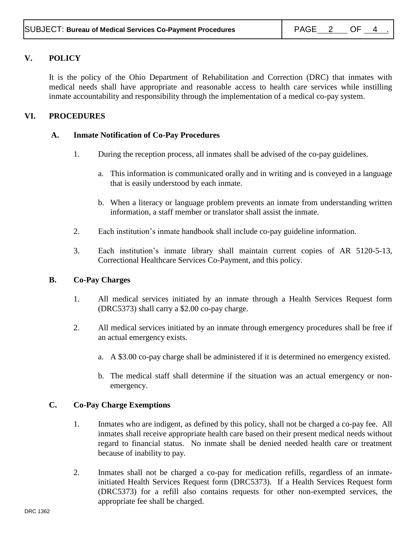# **V. POLICY**

It is the policy of the Ohio Department of Rehabilitation and Correction (DRC) that inmates with medical needs shall have appropriate and reasonable access to health care services while instilling inmate accountability and responsibility through the implementation of a medical co-pay system.

# **VI. PROCEDURES**

## **A. Inmate Notification of Co-Pay Procedures**

- 1. During the reception process, all inmates shall be advised of the co-pay guidelines.
	- a. This information is communicated orally and in writing and is conveyed in a language that is easily understood by each inmate.
	- b. When a literacy or language problem prevents an inmate from understanding written information, a staff member or translator shall assist the inmate.
- 2. Each institution's inmate handbook shall include co-pay guideline information.
- 3. Each institution's inmate library shall maintain current copies of AR 5120-5-13, Correctional Healthcare Services Co-Payment, and this policy.

## **B. Co-Pay Charges**

- 1. All medical services initiated by an inmate through a Health Services Request form (DRC5373) shall carry a \$2.00 co-pay charge.
- 2. All medical services initiated by an inmate through emergency procedures shall be free if an actual emergency exists.
	- a. A \$3.00 co-pay charge shall be administered if it is determined no emergency existed.
	- b. The medical staff shall determine if the situation was an actual emergency or nonemergency.

#### **C. Co-Pay Charge Exemptions**

- 1. Inmates who are indigent, as defined by this policy, shall not be charged a co-pay fee. All inmates shall receive appropriate health care based on their present medical needs without regard to financial status. No inmate shall be denied needed health care or treatment because of inability to pay.
- 2. Inmates shall not be charged a co-pay for medication refills, regardless of an inmateinitiated Health Services Request form (DRC5373). If a Health Services Request form (DRC5373) for a refill also contains requests for other non-exempted services, the appropriate fee shall be charged.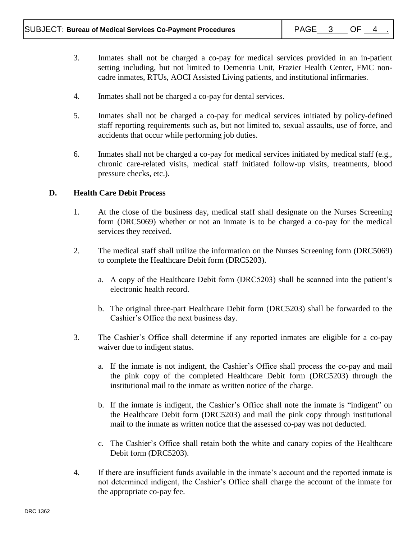- 3. Inmates shall not be charged a co-pay for medical services provided in an in-patient setting including, but not limited to Dementia Unit, Frazier Health Center, FMC noncadre inmates, RTUs, AOCI Assisted Living patients, and institutional infirmaries.
- 4. Inmates shall not be charged a co-pay for dental services.
- 5. Inmates shall not be charged a co-pay for medical services initiated by policy-defined staff reporting requirements such as, but not limited to, sexual assaults, use of force, and accidents that occur while performing job duties.
- 6. Inmates shall not be charged a co-pay for medical services initiated by medical staff (e.g., chronic care-related visits, medical staff initiated follow-up visits, treatments, blood pressure checks, etc.).

### **D. Health Care Debit Process**

- 1. At the close of the business day, medical staff shall designate on the Nurses Screening form (DRC5069) whether or not an inmate is to be charged a co-pay for the medical services they received.
- 2. The medical staff shall utilize the information on the Nurses Screening form (DRC5069) to complete the Healthcare Debit form (DRC5203).
	- a. A copy of the Healthcare Debit form (DRC5203) shall be scanned into the patient's electronic health record.
	- b. The original three-part Healthcare Debit form (DRC5203) shall be forwarded to the Cashier's Office the next business day.
- 3. The Cashier's Office shall determine if any reported inmates are eligible for a co-pay waiver due to indigent status.
	- a. If the inmate is not indigent, the Cashier's Office shall process the co-pay and mail the pink copy of the completed Healthcare Debit form (DRC5203) through the institutional mail to the inmate as written notice of the charge.
	- b. If the inmate is indigent, the Cashier's Office shall note the inmate is "indigent" on the Healthcare Debit form (DRC5203) and mail the pink copy through institutional mail to the inmate as written notice that the assessed co-pay was not deducted.
	- c. The Cashier's Office shall retain both the white and canary copies of the Healthcare Debit form (DRC5203).
- 4. If there are insufficient funds available in the inmate's account and the reported inmate is not determined indigent, the Cashier's Office shall charge the account of the inmate for the appropriate co-pay fee.